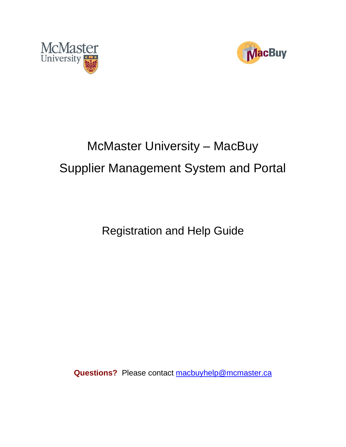



# McMaster University – MacBuy Supplier Management System and Portal

Registration and Help Guide

**Questions?** Please contact [macbuyhelp@mcmaster.ca](mailto:macbuyhelp@mcmaster.ca)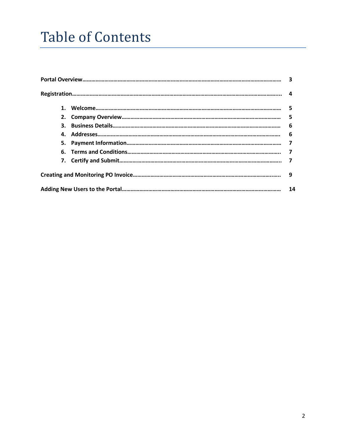## Table of Contents

|    | 3              |
|----|----------------|
|    |                |
|    | -5             |
|    | 5              |
| 3. | 6              |
|    | 6              |
|    | $\overline{7}$ |
|    | 7              |
|    |                |
|    | -9             |
|    | 14             |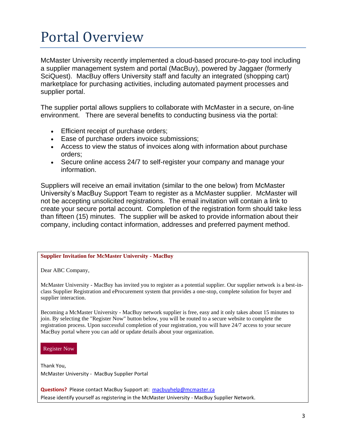## Portal Overview

McMaster University recently implemented a cloud-based procure-to-pay tool including a supplier management system and portal (MacBuy), powered by Jaggaer (formerly SciQuest). MacBuy offers University staff and faculty an integrated (shopping cart) marketplace for purchasing activities, including automated payment processes and supplier portal.

The supplier portal allows suppliers to collaborate with McMaster in a secure, on-line environment. There are several benefits to conducting business via the portal:

- Efficient receipt of purchase orders;
- Ease of purchase orders invoice submissions;
- Access to view the status of invoices along with information about purchase orders;
- Secure online access 24/7 to self-register your company and manage your information.

Suppliers will receive an email invitation (similar to the one below) from McMaster University's MacBuy Support Team to register as a McMaster supplier. McMaster will not be accepting unsolicited registrations. The email invitation will contain a link to create your secure portal account. Completion of the registration form should take less than fifteen (15) minutes. The supplier will be asked to provide information about their company, including contact information, addresses and preferred payment method.

#### **Supplier Invitation for McMaster University - MacBuy**

Dear ABC Company,

McMaster University - MacBuy has invited you to register as a potential supplier. Our supplier network is a best-inclass Supplier Registration and eProcurement system that provides a one-stop, complete solution for buyer and supplier interaction.

Becoming a McMaster University - MacBuy network supplier is free, easy and it only takes about 15 minutes to join. By selecting the "Register Now" button below, you will be routed to a secure website to complete the registration process. Upon successful completion of your registration, you will have 24/7 access to your secure MacBuy portal where you can add or update details about your organization.

[Register](https://usertest.sciquest.com/apps/Router/SupplierUserCustomerProfileAccess?AuthToken=0%3AAES2%23CP78mkWMrmyL8zd3yIaMgCZ9j62mb1sqR9i0X%2FW5YVBu0k%2FVMrxZ11ZDHhEmJCWtQV9AwLwOCSFRgTffyBwTqCh8DL3YBn4BR3zUktp6hJF%2BGzG9Qw%2B9OJDh7qfIg0O42I7t2Gm87g4iZR%2BuCdIb0YJyA0iH8iW7Ejbd2t7Hq7aR6t2nXGpbGXZ7fZwpo8rkZ%2FbG1p9EY%2Bue3W51tuhpmv7tO6ZaOJ9LO0L5PtO8ed00aY1q2nriKWM%3D&tmstmp=1613056038834) Now

Thank You, McMaster University - MacBuy Supplier Portal

**Questions?** Please contact MacBuy Support at: [macbuyhelp@mcmaster.ca](mailto:macbuyhelp@mcmaster.ca) Please identify yourself as registering in the McMaster University - MacBuy Supplier Network.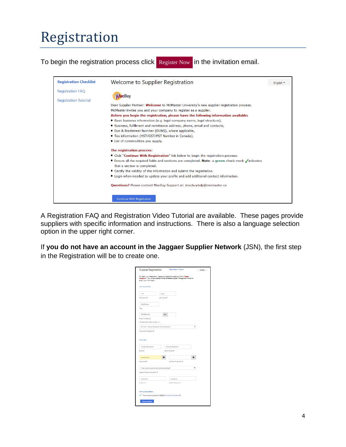# Registration

To begin the registration process click [Register](https://usertest.sciquest.com/apps/Router/SupplierUserCustomerProfileAccess?AuthToken=0%3AAES2%23CP78mkWMrmyL8zd3yIaMgCZ9j62mb1sqR9i0X%2FW5YVBu0k%2FVMrxZ11ZDHhEmJCWtQV9AwLwOCSFRgTffyBwTqCh8DL3YBn4BR3zUktp6hJF%2BGzG9Qw%2B9OJDh7qfIg0O42I7t2Gm87g4iZR%2BuCdIb0YJyA0iH8iW7Ejbd2t7Hq7aR6t2nXGpbGXZ7fZwpo8rkZ%2FbG1p9EY%2Bue3W51tuhpmv7tO6ZaOJ9LO0L5PtO8ed00aY1q2nriKWM%3D&tmstmp=1613056038834) Now in the invitation email.



A Registration FAQ and Registration Video Tutorial are available. These pages provide suppliers with specific information and instructions. There is also a language selection option in the upper right corner.

If **you do not have an account in the Jaggaer Supplier Network** (JSN), the first step in the Registration will be to create one.

| <b>Supplier Registration</b>                  | Registration Tutorial                                                                                                                                   | English- |
|-----------------------------------------------|---------------------------------------------------------------------------------------------------------------------------------------------------------|----------|
| enter your information.                       | To begin your registration, please complete this page and click "Create<br>Account". You will be directed to the NoNaster Supplier Nanagement Portal to |          |
| Your Contact Info                             |                                                                                                                                                         |          |
| Tons                                          | Jones                                                                                                                                                   |          |
| <b>River Name #</b>                           | Lact Name *                                                                                                                                             |          |
| GO/Dunar                                      |                                                                                                                                                         |          |
| Title                                         |                                                                                                                                                         |          |
| 905-555-1224                                  | act.                                                                                                                                                    |          |
| Phone Number +                                |                                                                                                                                                         |          |
| Memiliansi ghana numbersi muslikagin inifri u |                                                                                                                                                         |          |
| EbT/EST - Eactorn Standard Time (US/Eactorn)  |                                                                                                                                                         |          |
| Proforrod Time Zone *<br>Your Login           |                                                                                                                                                         |          |
| temienec@óliCzem                              | tem lenecth like com                                                                                                                                    |          |
| Engl *                                        | Confirm English                                                                                                                                         |          |
| ,,,,,,,,,,                                    | œ                                                                                                                                                       | m        |
| Pacoverd *                                    | Ro-Great Pacovord *                                                                                                                                     |          |
| What was the name of your elementary cohool?  |                                                                                                                                                         |          |
| Lassure Reastery Quection *                   |                                                                                                                                                         |          |
|                                               |                                                                                                                                                         |          |
| <b>Underer *</b>                              | Confirm Incuse *                                                                                                                                        |          |
|                                               |                                                                                                                                                         |          |
| Terrecand Conditions                          |                                                                                                                                                         |          |
| Orasto Soport                                 | Thank read and accepted Joseph Ric Torrec and Conditions @                                                                                              |          |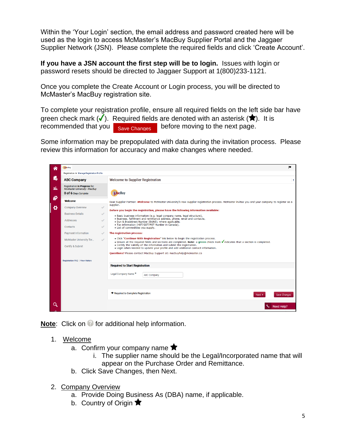Within the 'Your Login' section, the email address and password created here will be used as the login to access McMaster's MacBuy Supplier Portal and the Jaggaer Supplier Network (JSN). Please complete the required fields and click 'Create Account'.

**If you have a JSN account the first step will be to login.** Issues with login or password resets should be directed to Jaggaer Support at 1(800)233-1121.

Once you complete the Create Account or Login process, you will be directed to McMaster's MacBuy registration site.

To complete your registration profile, ensure all required fields on the left side bar have green check mark  $(\checkmark)$ . Required fields are denoted with an asterisk  $(\hat{\blacklozenge})$ . It is recommended that you  $\left| \right|_{\text{Save Changes}}$  before moving to the next page. Save Changes

Some information may be prepopulated with data during the invitation process. Please review this information for accuracy and make changes where needed.



**Note:** Click on *o* for additional help information.

- 1. Welcome
	- a. Confirm your company name  $\bigstar$ 
		- i. The supplier name should be the Legal/Incorporated name that will appear on the Purchase Order and Remittance.
	- b. Click Save Changes, then Next.
- 2. Company Overview
	- a. Provide Doing Business As (DBA) name, if applicable.
	- b. Country of Origin  $\bigstar$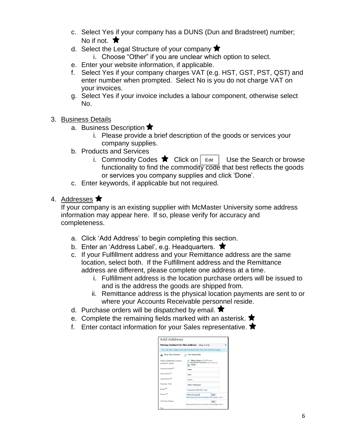- c. Select Yes if your company has a DUNS (Dun and Bradstreet) number; No if not.  $\bigstar$
- d. Select the Legal Structure of your company  $\bigstar$ 
	- i. Choose "Other" if you are unclear which option to select.
- e. Enter your website information, if applicable.
- f. Select Yes if your company charges VAT (e.g. HST, GST, PST, QST) and enter number when prompted. Select No is you do not charge VAT on your invoices.
- g. Select Yes if your invoice includes a labour component, otherwise select No.
- 3. Business Details
	- a. Business Description  $\bigstar$ 
		- i. Please provide a brief description of the goods or services your company supplies.
	- b. Products and Services
		- i. Commodity Codes  $\bigstar$  Click on Edit Use the Search or browse functionality to find the commodity code that best reflects the goods or services you company supplies and click 'Done'.
	- c. Enter keywords, if applicable but not required.
- 4. Addresses  $\bigstar$

If your company is an existing supplier with McMaster University some address information may appear here. If so, please verify for accuracy and completeness.

- a. Click 'Add Address' to begin completing this section.
- b. Enter an 'Address Label', e.g. Headquarters.  $\bigstar$
- c. If your Fulfillment address and your Remittance address are the same location, select both. If the Fulfillment address and the Remittance address are different, please complete one address at a time.
	- i. Fulfillment address is the location purchase orders will be issued to and is the address the goods are shipped from.
	- ii. Remittance address is the physical location payments are sent to or where your Accounts Receivable personnel reside.
- d. Purchase orders will be dispatched by email.  $\bigstar$
- e. Complete the remaining fields marked with an asterisk.  $\bigstar$
- f. Enter contact information for your Sales representative.  $\bigstar$

| <b>Add Address</b>                                                 |                                                                                 |      |   |
|--------------------------------------------------------------------|---------------------------------------------------------------------------------|------|---|
| Primary Contact For This Address (Step 3 of 3)                     |                                                                                 |      | 7 |
| You can also update and add Contacts later from the Contacts page. |                                                                                 |      |   |
| Enter New Contact                                                  | Not Applicable                                                                  |      |   |
| Select additional contact<br>type(s) to apply                      | Takes Orders (fulfillment)<br>Receives Payment (remittance)<br>$\sqrt{ }$ Sales |      |   |
| Contact Label *                                                    | Sales                                                                           |      |   |
| First Name *                                                       | Tom                                                                             |      |   |
| Last Name *                                                        | lones                                                                           |      |   |
| Position Title                                                     | Sales Manager                                                                   |      |   |
| Fmail *                                                            | tom.jones@AMC.com                                                               |      |   |
| Phone <sup>*</sup>                                                 | 905-555-1234                                                                    | ext. |   |
|                                                                    | International phone numbers must begin with +                                   |      |   |
| <b>Toll Free Phone</b>                                             |                                                                                 | ext. |   |
|                                                                    | International phone numbers must begin with +                                   |      |   |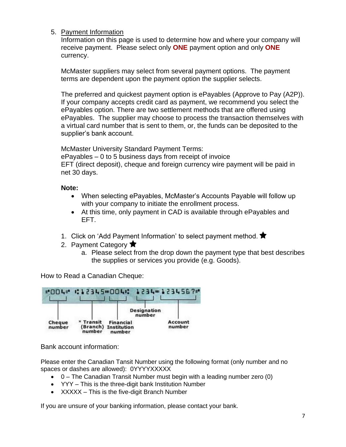#### 5. Payment Information

Information on this page is used to determine how and where your company will receive payment. Please select only **ONE** payment option and only **ONE** currency.

McMaster suppliers may select from several payment options. The payment terms are dependent upon the payment option the supplier selects.

The preferred and quickest payment option is ePayables (Approve to Pay (A2P)). If your company accepts credit card as payment, we recommend you select the ePayables option. There are two settlement methods that are offered using ePayables. The supplier may choose to process the transaction themselves with a virtual card number that is sent to them, or, the funds can be deposited to the supplier's bank account.

McMaster University Standard Payment Terms:

ePayables – 0 to 5 business days from receipt of invoice EFT (direct deposit), cheque and foreign currency wire payment will be paid in net 30 days.

#### **Note:**

- When selecting ePayables, McMaster's Accounts Payable will follow up with your company to initiate the enrollment process.
- At this time, only payment in CAD is available through ePayables and EFT.
- 1. Click on 'Add Payment Information' to select payment method. ★
- 2. Payment Category  $\bigstar$ 
	- a. Please select from the drop down the payment type that best describes the supplies or services you provide (e.g. Goods).

How to Read a Canadian Cheque:



Bank account information:

Please enter the Canadian Tansit Number using the following format (only number and no spaces or dashes are allowed): 0YYYYXXXXX

- 0 The Canadian Transit Number must begin with a leading number zero (0)
- YYY This is the three-digit bank Institution Number
- XXXXX This is the five-digit Branch Number

If you are unsure of your banking information, please contact your bank.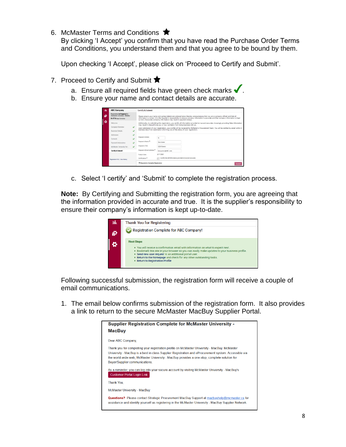6. McMaster Terms and Conditions  $\bigstar$ 

By clicking 'I Accept' you confirm that you have read the Purchase Order Terms and Conditions, you understand them and that you agree to be bound by them.

Upon checking 'I Accept', please click on 'Proceed to Certify and Submit'.

- 7. Proceed to Certify and Submit  $\bigstar$ 
	- a. Ensure all required fields have green check marks  $\blacklozenge$ .
	- b. Ensure your name and contact details are accurate.

| ni. | <b>ABC Company</b>                                                                            | Certify & Submit                                                                                                                                                                                                                                                                                                                                                                                                                                                 |  |  |  |  |
|-----|-----------------------------------------------------------------------------------------------|------------------------------------------------------------------------------------------------------------------------------------------------------------------------------------------------------------------------------------------------------------------------------------------------------------------------------------------------------------------------------------------------------------------------------------------------------------------|--|--|--|--|
| ø   | Registration In Progress for:<br><b>McMaster University - MacBuy</b><br>6 of 6 Steps Complete | Please ensure your name and contact details are entered below thereby acknowledging that you are a company official and that all<br>information is correct. It is the Supplier's responsibility to ensure company information is accurate and that company information is kept.<br>current, Inaccurate company information may result in payment delays.                                                                                                         |  |  |  |  |
| ۰   | Welcome<br>Company Overview<br>$\checkmark$<br><b>Business Details</b>                        | Additionally, by submitting this registration, you certify all information provided is true and accurate. Knowingly providing false information<br>may result in disqualifying you or your company from doing business with us.<br>Upon submission of your registration, your profile will be reviewed by McMaster's Procurement Team. You will be notified by email within 5<br>business days from submission informing you of the status of your registration. |  |  |  |  |
|     | ر<br>Addresses<br>Contacts<br>Payment information<br>McMaster University Ter<br>ر             | Prenane's initials<br>T<br>Preparer's Name *<br>Tom Jones<br>Preparer's Title<br><b>CEO/Owner</b>                                                                                                                                                                                                                                                                                                                                                                |  |  |  |  |
|     | Certify & Submit                                                                              | Preparer's Email Address *<br>tom.jones@ABC.com                                                                                                                                                                                                                                                                                                                                                                                                                  |  |  |  |  |
|     | Registration FAQ   View History                                                               | 2/11/2021<br>Today's Date<br>[111] I certify that all information provided is true and accurate.<br>Certification <sup>*</sup>                                                                                                                                                                                                                                                                                                                                   |  |  |  |  |
|     |                                                                                               | * Required to Complete Registration<br>Submit                                                                                                                                                                                                                                                                                                                                                                                                                    |  |  |  |  |

c. Select 'I certify' and 'Submit' to complete the registration process.

**Note:** By Certifying and Submitting the registration form, you are agreeing that the information provided in accurate and true. It is the supplier's responsibility to ensure their company's information is kept up-to-date.



Following successful submission, the registration form will receive a couple of email communications.

1. The email below confirms submission of the registration form. It also provides a link to return to the secure McMaster MacBuy Supplier Portal.

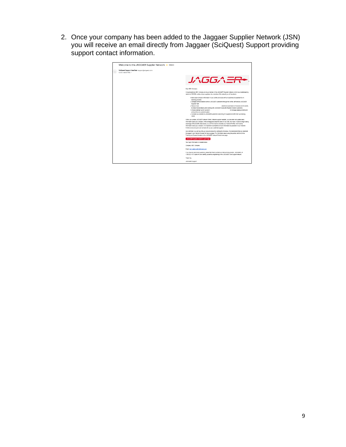2. Once your company has been added to the Jaggaer Supplier Network (JSN) you will receive an email directly from Jaggaer (SciQuest) Support providing support contact information.

| Welcome to the JAGGAER Supplier Network <b>D</b> Inbox x                                          |                                                                                                                                                                                                                                                                                                                                                                                                                                                                                                                                                                                                                                                                                    |
|---------------------------------------------------------------------------------------------------|------------------------------------------------------------------------------------------------------------------------------------------------------------------------------------------------------------------------------------------------------------------------------------------------------------------------------------------------------------------------------------------------------------------------------------------------------------------------------------------------------------------------------------------------------------------------------------------------------------------------------------------------------------------------------------|
| SciQuest Support UserTest <support@sciquest.com><br/>to terri wetton+4RC =</support@sciquest.com> |                                                                                                                                                                                                                                                                                                                                                                                                                                                                                                                                                                                                                                                                                    |
|                                                                                                   | JAGGAER+                                                                                                                                                                                                                                                                                                                                                                                                                                                                                                                                                                                                                                                                           |
|                                                                                                   | Dear ABC Company.                                                                                                                                                                                                                                                                                                                                                                                                                                                                                                                                                                                                                                                                  |
|                                                                                                   | Congratulations! ABC Company is now a member of the JAGGAER Supplier Network, which is a market-leading<br>network of 150,000+ active unloue suppliers. As a member of the network you will be able to:                                                                                                                                                                                                                                                                                                                                                                                                                                                                            |
|                                                                                                   | - Store basic company information in your profile and share with all customers to expedite the on-<br>boarding process.<br>. Manage communications with all JAGGAER customers through the no fee, self-service JAGGAER<br>Supplier Nety<br>· Reduce Insolo<br>electronic submission of involces and the ability<br>to check invoice status when working with JAGGAER Accounts Payable Director customers.<br>A suitable are then associated affording<br>. Choose between punch-out and h:<br>nd manage catalog content and<br>pricing from one central location.<br>- increase your visibility to JAGGAER customers searching for suppliers to fulfill their purchasing<br>needs. |
|                                                                                                   | Within your private JAGGAER Network Portal (Network supplier vebsite), you can enter and update basic<br>information about your company, invite colleagues to become users of your site, and more, in order to begin taking<br>aduantage of the benefits listed above, you will first need to complete your Network Profile, which stores<br>Information about your company. It is important to complete as much information as possible in your Network<br>Profile to ensure buyers can connect with you as a potential supplier.                                                                                                                                                 |
|                                                                                                   | As a reminder, you can log into your secure account by visiting the link below. We recommend that you bookmark<br>this page in your internet browser for future access. For information about using the portal, visit the Online<br>Training and Support located on the JAGGAER Network Portal home page.                                                                                                                                                                                                                                                                                                                                                                          |
|                                                                                                   | JAGGAER Supplier Network Login Page                                                                                                                                                                                                                                                                                                                                                                                                                                                                                                                                                                                                                                                |
|                                                                                                   | Your login information is located below                                                                                                                                                                                                                                                                                                                                                                                                                                                                                                                                                                                                                                            |
|                                                                                                   | Company, ABC Company                                                                                                                                                                                                                                                                                                                                                                                                                                                                                                                                                                                                                                                               |
|                                                                                                   | Email: terri wetton+ABC@gmail.com                                                                                                                                                                                                                                                                                                                                                                                                                                                                                                                                                                                                                                                  |
|                                                                                                   | If you have any technical questions, please feel free to contact our data service provider, JAGGAER, at<br>1.800.233.1121 Option #3 and identify yourself as registering in the JAGGAER One Support network.                                                                                                                                                                                                                                                                                                                                                                                                                                                                       |
|                                                                                                   | Thank Viva                                                                                                                                                                                                                                                                                                                                                                                                                                                                                                                                                                                                                                                                         |
|                                                                                                   | JAGGAER Support                                                                                                                                                                                                                                                                                                                                                                                                                                                                                                                                                                                                                                                                    |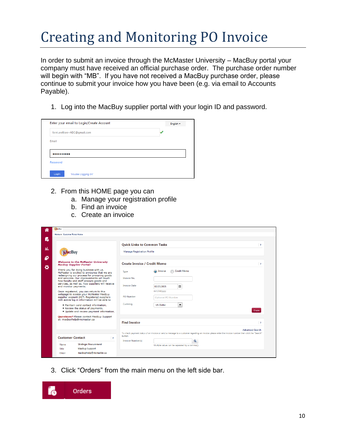# Creating and Monitoring PO Invoice

In order to submit an invoice through the McMaster University – MacBuy portal your company must have received an official purchase order. The purchase order number will begin with "MB". If you have not received a MacBuy purchase order, please continue to submit your invoice how you have been (e.g. via email to Accounts Payable).

1. Log into the MacBuy supplier portal with your login ID and password.

| terri.wetton+ABC@gmail.com |  |
|----------------------------|--|
| Email                      |  |
|                            |  |
|                            |  |
| Password                   |  |
|                            |  |

- 2. From this HOME page you can
	- a. Manage your registration profile
	- b. Find an invoice
	- c. Create an invoice

|                                                                                                                                     |                                     | <b>Quick Links to Common Tasks</b>                                                                                                                  | $\overline{\mathbf{r}}$ |
|-------------------------------------------------------------------------------------------------------------------------------------|-------------------------------------|-----------------------------------------------------------------------------------------------------------------------------------------------------|-------------------------|
| <b>MacBuy</b>                                                                                                                       | <b>Manage Registration Profile</b>  |                                                                                                                                                     |                         |
| <b>Welcome to the McMaster University</b><br><b>MacBuy Supplier Portal!</b>                                                         | <b>Create Invoice / Credit Memo</b> |                                                                                                                                                     | $\overline{\mathbf{r}}$ |
| Thank you for doing business with us.<br>McMaster is excited to announce that we are<br>redesigning our process for procuring goods | Type                                | <b>Credit Memo</b><br>a) Invoice                                                                                                                    |                         |
| and services. Our improvements will touch<br>how faculty and staff procure goods and                                                | <b>Invoice No.</b>                  |                                                                                                                                                     |                         |
| services, as well as, how suppliers will receive<br>and monitor payments.                                                           | <b>Invoice Date</b>                 | ⊞<br>02/23/2021                                                                                                                                     |                         |
| Once registered, you can return to this<br>webpage to access your McMaster MacBuy                                                   |                                     | mm/dd/yyyy                                                                                                                                          |                         |
| supplier account 24/7. Registered suppliers<br>with active log in information will be able to                                       | <b>PO Number</b>                    | Optional PO Number                                                                                                                                  |                         |
| . Maintain valid contact information.                                                                                               | Currency                            | $\blacktriangledown$<br><b>US Dollar</b>                                                                                                            |                         |
| . Review the status of payments,<br>. Update and review payment information.                                                        |                                     |                                                                                                                                                     | Create                  |
| <b>Questions?</b> Please contact MacBuy Support<br>at: macbuyhelp@mcmaster.ca                                                       |                                     |                                                                                                                                                     |                         |
|                                                                                                                                     | <b>Find Invoice</b>                 |                                                                                                                                                     | 3                       |
|                                                                                                                                     |                                     |                                                                                                                                                     | <b>Advanced Search</b>  |
| <b>Customer Contact</b><br>$\overline{?}$                                                                                           | button.                             | To check payment status of an invoice or send a message to a customer regarding an invoice, please enter the invoice number then click the "Search" |                         |
|                                                                                                                                     | <b>Invoice Number(s)</b>            | $\alpha$                                                                                                                                            |                         |

3. Click "Orders" from the main menu on the left side bar.

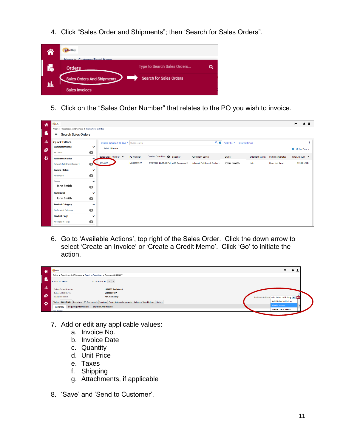4. Click "Sales Order and Shipments"; then 'Search for Sales Orders".



5. Click on the "Sales Order Number" that relates to the PO you wish to invoice.

|       | MacBuy                                                        |                |                                           |            |                            |                                                                  |                                |     |                                    | $\blacksquare$                         | 41                      |
|-------|---------------------------------------------------------------|----------------|-------------------------------------------|------------|----------------------------|------------------------------------------------------------------|--------------------------------|-----|------------------------------------|----------------------------------------|-------------------------|
| 省     | Orders > Sales Orders And Shipments > Search for Sales Orders |                |                                           |            |                            |                                                                  |                                |     |                                    |                                        |                         |
| í.    |                                                               |                |                                           |            |                            |                                                                  |                                |     |                                    |                                        |                         |
|       | <b>Search Sales Orders</b><br>$\equiv$                        |                |                                           |            |                            |                                                                  |                                |     |                                    |                                        |                         |
| -tili | <b>Quick Filters</b>                                          |                | Created Date: Last 90 days * Quick search |            |                            | $Q$ $Q$                                                          | Add Filter * Clear All Filters |     |                                    |                                        | $\overline{\mathbf{?}}$ |
| 鹶     | <b>Commodity Code</b>                                         | $\checkmark$   | 1-1 of 1 Results                          |            |                            |                                                                  |                                |     |                                    | <b><math>\Phi</math></b> 20 Per Page ▼ |                         |
|       | 44120000                                                      | $\blacksquare$ |                                           |            |                            |                                                                  |                                |     |                                    |                                        |                         |
| ø     | <b>Fulfillment Center</b>                                     |                | Sales Order Number ▼                      | PO Number  | Created Date/Time Supplier | <b>Fulfillment Center</b>                                        | Owner                          |     | Shipment Status Fulfillment Status | Total Amount ▼                         |                         |
|       | Network Fulfillment Center 1                                  | $\blacksquare$ | 1934827                                   | MB00003927 |                            | 2/23/2021 12:20:39 PM ABC Company @ Network Fulfillment Center 1 | John Smith                     | N/A | <b>Does Not Apply</b>              |                                        | 113.00 CAD              |
|       | <b>Invoice Status</b>                                         | $\checkmark$   |                                           |            |                            |                                                                  |                                |     |                                    |                                        |                         |
|       | No Invoice                                                    | $\bullet$      |                                           |            |                            |                                                                  |                                |     |                                    |                                        |                         |
|       | Output                                                        | $\checkmark$   |                                           |            |                            |                                                                  |                                |     |                                    |                                        |                         |
|       | John Smith                                                    | $\blacksquare$ |                                           |            |                            |                                                                  |                                |     |                                    |                                        |                         |
|       | <b>Participant</b>                                            | $\checkmark$   |                                           |            |                            |                                                                  |                                |     |                                    |                                        |                         |
|       | John Smith                                                    | $\bullet$      |                                           |            |                            |                                                                  |                                |     |                                    |                                        |                         |
|       | <b>Product Category</b>                                       | $\checkmark$   |                                           |            |                            |                                                                  |                                |     |                                    |                                        |                         |
|       | No Product Category                                           | $\blacksquare$ |                                           |            |                            |                                                                  |                                |     |                                    |                                        |                         |
|       | <b>Product Flags</b>                                          | $\checkmark$   |                                           |            |                            |                                                                  |                                |     |                                    |                                        |                         |
|       | No Product Flags                                              | $\bullet$      |                                           |            |                            |                                                                  |                                |     |                                    |                                        |                         |

6. Go to 'Available Actions', top right of the Sales Order. Click the down arrow to select 'Create an Invoice' or 'Create a Credit Memo'. Click 'Go' to initiate the action.

| 俗            | MacBuy                    |                                                                                                       |                                             |
|--------------|---------------------------|-------------------------------------------------------------------------------------------------------|---------------------------------------------|
|              |                           | Orders ▶ Sales Orders And Shipments ▶ Search for Sales Orders ▶ Summary - SO 1934827                  |                                             |
| $\mathbf{I}$ | « Back to Results         | 1 of 1 Results $\bullet$ $\bullet$ $\bullet$                                                          |                                             |
| ىلىك         | <b>Sales Order Number</b> | 1934827 Revision 0                                                                                    |                                             |
|              | External PO Ref #:        | MB00003927                                                                                            |                                             |
| ា            | <b>Supplier Name</b>      | <b>ABC Company</b>                                                                                    | Available Actions Add Notes to History v Go |
| ಾ            |                           | Status Sales Order Revisions PO Documents Invoices Order Acknowledgments Advance Ship Notices History | <b>Add Notes to History</b>                 |
|              | <b>Summary</b>            | Shipping Information   Supplier Information                                                           | Create Invoice                              |
|              | Hide header               |                                                                                                       | <b>Create Credit Memo</b>                   |

- 7. Add or edit any applicable values:
	- a. Invoice No.
	- b. Invoice Date
	- c. Quantity
	- d. Unit Price
	- e. Taxes
	- f. Shipping
	- g. Attachments, if applicable
- 8. 'Save' and 'Send to Customer'.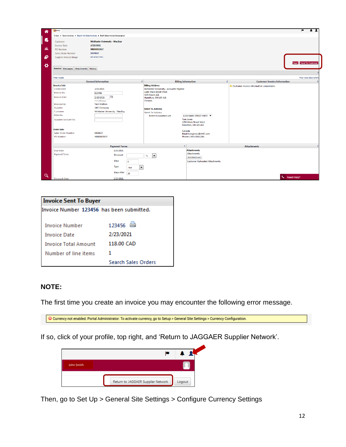| 一合             | MacBuy                                                                               |                                                                |                                        |                                                                   |                                           | Þ<br>$\mathbf{r}$       |
|----------------|--------------------------------------------------------------------------------------|----------------------------------------------------------------|----------------------------------------|-------------------------------------------------------------------|-------------------------------------------|-------------------------|
|                | Orders > Sales Invoices > Search for Sales Invoices > Draft Sales Invoice Unassigned |                                                                |                                        |                                                                   |                                           |                         |
| <b>i</b><br>ահ | Customer<br><b>Invoice Date</b><br>PO Number                                         | <b>McMaster University - MacBuy</b><br>2/23/2021<br>MB00003927 |                                        |                                                                   |                                           |                         |
|                | <b>Sales Order Number</b>                                                            | 1934827                                                        |                                        |                                                                   |                                           |                         |
| 鹶              | Supplier Invoice Image                                                               | add attachment                                                 |                                        |                                                                   |                                           | Save Send To Customer   |
| $\bullet$      | <b>Invoice Messages Attachments History</b>                                          |                                                                |                                        |                                                                   |                                           |                         |
|                | <b>Hide header</b>                                                                   |                                                                |                                        |                                                                   |                                           | Hide value descriptions |
|                |                                                                                      | <b>General Information</b><br>$\overline{\mathbf{r}}$          |                                        | <b>Billing Information</b><br>$\overline{\mathbf{r}}$             | <b>Customer Invoice Information</b>       |                         |
|                | <b>Invoice Info</b>                                                                  |                                                                | <b>Billing Address</b>                 |                                                                   | Customer invoice information unavailable. |                         |
|                | <b>Create Date</b>                                                                   | 2/23/2021                                                      | McMaster University - Accounts Payable |                                                                   |                                           |                         |
|                | Invoice No.                                                                          | 123456                                                         | 1280 Main Street West<br>OJN Room 321  |                                                                   |                                           |                         |
|                | <b>Invoice Date</b>                                                                  | Fø<br>2/23/2021<br>mm/dd/yyyy                                  | Hamilton, ON L8S 4L8<br>Canada         |                                                                   |                                           |                         |
|                | <b>Invoiced By</b>                                                                   | <b>Terri Wetton</b>                                            |                                        |                                                                   |                                           |                         |
|                | Supplier                                                                             | <b>ABC Company</b>                                             | <b>Remit To Address</b>                |                                                                   |                                           |                         |
|                | Customer                                                                             | McMaster University - MacBuy                                   | <b>Remit To Address</b>                |                                                                   |                                           |                         |
|                | RMA No.                                                                              |                                                                | <b>Remit To Location List</b>          | 1234 MAIN STREET WEST ▼                                           |                                           |                         |
|                | Supplier Account No.                                                                 |                                                                |                                        | <b>Tom Jones</b><br>1234 Main Street West<br>Hamilton, ON L8S 4L8 |                                           |                         |
|                | <b>Order Info</b>                                                                    |                                                                |                                        | Canada                                                            |                                           |                         |
|                | <b>Sales Order Number</b>                                                            | 1934827                                                        |                                        | Email tom.jones@AMC.com                                           |                                           |                         |
|                | <b>PO</b> Number                                                                     | MB00003927                                                     |                                        | Phone 1-905-5551234-                                              |                                           |                         |
|                |                                                                                      | <b>Payment Terms</b>                                           |                                        | $\overline{?}$                                                    | <b>Attachments</b>                        |                         |
|                | Due Date                                                                             | 3/25/2021                                                      |                                        | <b>Attachments</b>                                                |                                           |                         |
|                | <b>Payment Terms</b>                                                                 | <b>Discount</b>                                                | $\overline{\phantom{a}}$<br>$\%$       | <b>Attachments</b>                                                |                                           |                         |
|                |                                                                                      | Days                                                           |                                        | Add Attachment                                                    |                                           |                         |
|                |                                                                                      | $\circ$                                                        |                                        | <b>Customer Uploaded Attachments</b>                              |                                           |                         |
|                |                                                                                      | Type<br>$\blacktriangledown$<br>Net                            |                                        |                                                                   |                                           |                         |
| $\alpha$       |                                                                                      | Days After<br>30                                               |                                        |                                                                   |                                           |                         |
|                | <b>Discount Date</b>                                                                 | 2/23/2021                                                      |                                        |                                                                   | Need Help?                                |                         |

| <b>Invoice Sent To Buyer</b>              |                            |  |  |  |
|-------------------------------------------|----------------------------|--|--|--|
| Invoice Number 123456 has been submitted. |                            |  |  |  |
|                                           |                            |  |  |  |
| <b>Invoice Number</b>                     | 123456                     |  |  |  |
| <b>Invoice Date</b>                       | 2/23/2021                  |  |  |  |
| <b>Invoice Total Amount</b>               | 118.00 CAD                 |  |  |  |
| Number of line items                      | 1                          |  |  |  |
|                                           | <b>Search Sales Orders</b> |  |  |  |

### **NOTE:**

The first time you create an invoice you may encounter the following error message.

If so, click of your profile, top right, and 'Return to JAGGAER Supplier Network'.



Then, go to Set Up > General Site Settings > Configure Currency Settings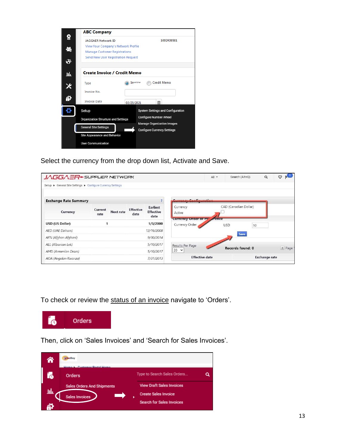

Select the currency from the drop down list, Activate and Save.

| JAGGAER SUPPLIER NETWORK                                    |                 |                  |                          |                                             |                                             | $All -$ | Search (Alt+Q)        | Q | ♡                |  |
|-------------------------------------------------------------|-----------------|------------------|--------------------------|---------------------------------------------|---------------------------------------------|---------|-----------------------|---|------------------|--|
| Setup ▶ General Site Settings ▶ Configure Currency Settings |                 |                  |                          |                                             |                                             |         |                       |   |                  |  |
| <b>Exchange Rate Summary</b>                                |                 |                  |                          |                                             |                                             |         |                       |   |                  |  |
| Currency                                                    | Current<br>rate | <b>Next rate</b> | <b>Effective</b><br>date | <b>Earliest</b><br><b>Effective</b><br>date | Currency<br>Active                          |         | CAD (Canadian Dollar) |   |                  |  |
| <b>USD (US Dollar)</b>                                      |                 |                  |                          | 1/3/2000                                    | Currency Order of Pr ence<br>Currency Order |         | <b>USD</b><br>10      |   |                  |  |
| AED (UAE Dirham)                                            |                 |                  |                          | 12/16/2008                                  |                                             |         |                       |   |                  |  |
| AFN (Afghan Afghani)                                        |                 |                  |                          | 9/30/2014                                   |                                             |         | Save                  |   |                  |  |
| ALL (Albanian Lek)                                          |                 |                  |                          | 5/10/2017                                   | Results Per Page                            |         | Records found: 0      |   |                  |  |
| AMD (Armenian Dram)                                         |                 |                  |                          | 5/10/2017                                   | $20 \times$                                 |         |                       |   | $\parallel$ Page |  |
| AOA (Angolan Kwanza)                                        | 7/31/2013       |                  |                          |                                             | <b>Effective date</b>                       |         | <b>Exchange rate</b>  |   |                  |  |

To check or review the status of an invoice navigate to 'Orders'.



Then, click on 'Sales Invoices' and 'Search for Sales Invoices'.

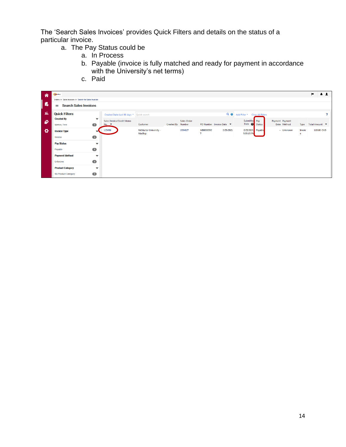The 'Search Sales Invoices' provides Quick Filters and details on the status of a particular invoice.

- a. The Pay Status could be
	- a. In Process
	- b. Payable (invoice is fully matched and ready for payment in accordance with the University's net terms)
	- c. Paid

| 一合 | MacBuy            |                                                     |                           |                                                       |                                        |                   |             |           |                          |                                      |               |                 |             |             | l v<br>$\mathbf{A}$ |   |
|----|-------------------|-----------------------------------------------------|---------------------------|-------------------------------------------------------|----------------------------------------|-------------------|-------------|-----------|--------------------------|--------------------------------------|---------------|-----------------|-------------|-------------|---------------------|---|
|    |                   | Orders > Sales Invoices > Search for Sales Invoices |                           |                                                       |                                        |                   |             |           |                          |                                      |               |                 |             |             |                     |   |
| í. | ≡                 | <b>Search Sales Invoices</b>                        |                           |                                                       |                                        |                   |             |           |                          |                                      |               |                 |             |             |                     |   |
| ահ |                   | <b>Quick Filters</b>                                |                           | Created Date: Last 90 days *   Quick search           |                                        |                   |             |           |                          | Q @   Add Filter * Clear All Filters |               |                 |             |             |                     | ? |
| 鄐  | <b>Created By</b> | Wetton, Terri                                       | $\checkmark$<br>$\bullet$ | Sales Invoice/Credit Memo<br>No. $\blacktriangledown$ | Customer                               | Created By Number | Sales Order |           | PO Number Invoice Date ▼ | Submitted Pay<br>Date O              | <b>Status</b> | Payment Payment | Date Method | Type        | Total Amount ▼      |   |
| ø  |                   | <b>Invoice Type</b>                                 |                           | 123456                                                | <b>McMaster University -</b><br>MacBuy |                   | 1934827     | MB0000392 | 2/23/2021                | 2/23/2021 Payable<br>5:09:15 PM      |               |                 | - Unknown   | Invoic<br>e | 118.00 CAD          |   |
|    | Invoice           |                                                     | $\bullet$                 |                                                       |                                        |                   |             |           |                          |                                      |               |                 |             |             |                     |   |
|    | <b>Pay Status</b> |                                                     | $\checkmark$              |                                                       |                                        |                   |             |           |                          |                                      |               |                 |             |             |                     |   |
|    | Payable           |                                                     | $\bullet$                 |                                                       |                                        |                   |             |           |                          |                                      |               |                 |             |             |                     |   |
|    |                   | <b>Payment Method</b>                               | $\checkmark$              |                                                       |                                        |                   |             |           |                          |                                      |               |                 |             |             |                     |   |
|    | Unknown           |                                                     | $\bullet$                 |                                                       |                                        |                   |             |           |                          |                                      |               |                 |             |             |                     |   |
|    |                   | <b>Product Category</b>                             | $\checkmark$              |                                                       |                                        |                   |             |           |                          |                                      |               |                 |             |             |                     |   |
|    |                   | No Product Category                                 | $\bullet$                 |                                                       |                                        |                   |             |           |                          |                                      |               |                 |             |             |                     |   |